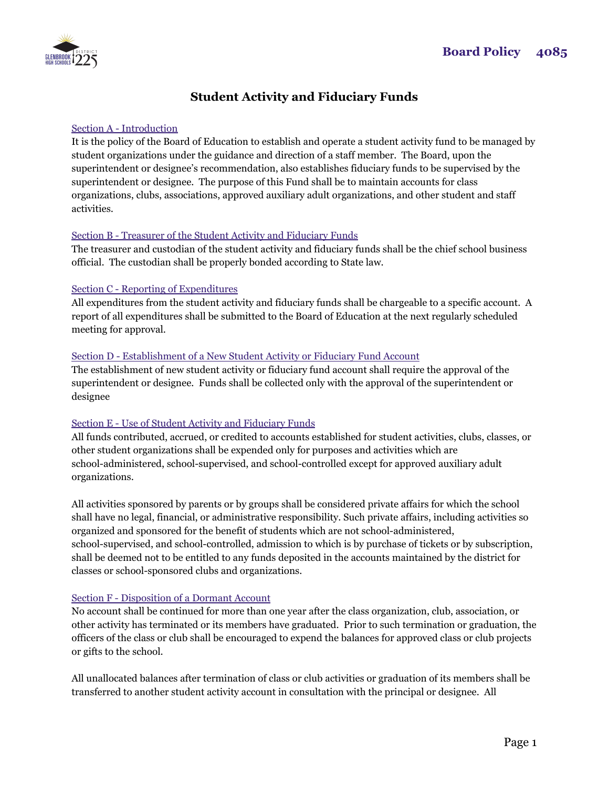

# **Student Activity and Fiduciary Funds**

#### Section A - Introduction

It is the policy of the Board of Education to establish and operate a student activity fund to be managed by student organizations under the guidance and direction of a staff member. The Board, upon the superintendent or designee's recommendation, also establishes fiduciary funds to be supervised by the superintendent or designee. The purpose of this Fund shall be to maintain accounts for class organizations, clubs, associations, approved auxiliary adult organizations, and other student and staff activities.

#### Section B - Treasurer of the Student Activity and Fiduciary Funds

The treasurer and custodian of the student activity and fiduciary funds shall be the chief school business official. The custodian shall be properly bonded according to State law.

#### Section C - Reporting of Expenditures

All expenditures from the student activity and fiduciary funds shall be chargeable to a specific account. A report of all expenditures shall be submitted to the Board of Education at the next regularly scheduled meeting for approval.

#### Section D - Establishment of a New Student Activity or Fiduciary Fund Account

The establishment of new student activity or fiduciary fund account shall require the approval of the superintendent or designee. Funds shall be collected only with the approval of the superintendent or designee

### Section E - Use of Student Activity and Fiduciary Funds

All funds contributed, accrued, or credited to accounts established for student activities, clubs, classes, or other student organizations shall be expended only for purposes and activities which are school-administered, school-supervised, and school-controlled except for approved auxiliary adult organizations.

All activities sponsored by parents or by groups shall be considered private affairs for which the school shall have no legal, financial, or administrative responsibility. Such private affairs, including activities so organized and sponsored for the benefit of students which are not school-administered, school-supervised, and school-controlled, admission to which is by purchase of tickets or by subscription, shall be deemed not to be entitled to any funds deposited in the accounts maintained by the district for classes or school-sponsored clubs and organizations.

#### Section F - Disposition of a Dormant Account

No account shall be continued for more than one year after the class organization, club, association, or other activity has terminated or its members have graduated. Prior to such termination or graduation, the officers of the class or club shall be encouraged to expend the balances for approved class or club projects or gifts to the school.

All unallocated balances after termination of class or club activities or graduation of its members shall be transferred to another student activity account in consultation with the principal or designee. All